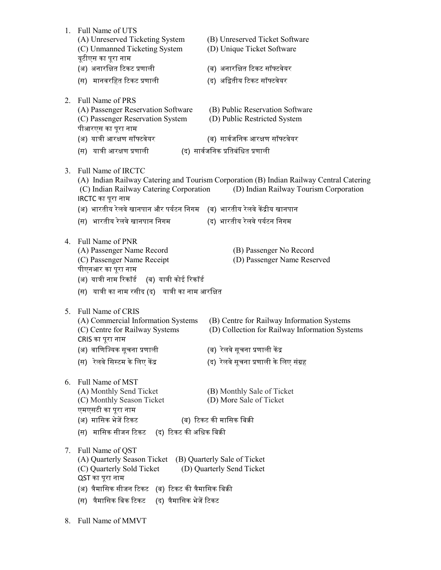| 1. | Full Name of UTS<br>(A) Unreserved Ticketing System<br>(C) Unmanned Ticketing System<br>यूटीएस का पूरा नाम                                                                                             | (B) Unreserved Ticket Software<br>(D) Unique Ticket Software                                                                      |
|----|--------------------------------------------------------------------------------------------------------------------------------------------------------------------------------------------------------|-----------------------------------------------------------------------------------------------------------------------------------|
|    | (अ) अनारक्षित टिकट प्रणाली                                                                                                                                                                             | (ब) अनारक्षित टिकट सॉफ्टवेयर                                                                                                      |
|    | (स) मानवरहित टिकट प्रणाली                                                                                                                                                                              | (द) अद्वितीय टिकट सॉफ्टवेयर                                                                                                       |
| 2. | Full Name of PRS<br>(A) Passenger Reservation Software<br>(C) Passenger Reservation System<br>पीआरएस का पूरा नाम                                                                                       | (B) Public Reservation Software<br>(D) Public Restricted System                                                                   |
|    | (अ) यात्री आरक्षण सॉफ्टवेयर                                                                                                                                                                            | (ब) सार्वजनिक आरक्षण सॉफ्टवेयर                                                                                                    |
|    | (स) यात्री आरक्षण प्रणाली                                                                                                                                                                              | (द) सार्वजनिक प्रतिबंधित प्रणाली                                                                                                  |
| 3. | Full Name of IRCTC<br>(C) Indian Railway Catering Corporation<br>IRCTC का पूरा नाम                                                                                                                     | (A) Indian Railway Catering and Tourism Corporation (B) Indian Railway Central Catering<br>(D) Indian Railway Tourism Corporation |
|    | (अ) भारतीय रेलवे खानपान और पर्यटन निगम    (ब)  भारतीय रेलवे केंद्रीय खानपान                                                                                                                            |                                                                                                                                   |
|    | (स) भारतीय रेलवे खानपान निगम                                                                                                                                                                           | (द) भारतीय रेलवे पर्यटन निगम                                                                                                      |
| 4. | Full Name of PNR<br>(A) Passenger Name Record<br>(C) Passenger Name Receipt<br>पीएनआर का पूरा नाम<br>(अ) यात्री नाम रिकॉर्ड (ब) यात्री कोई रिकॉर्ड<br>(स) यात्री का नाम रसीद (द) यात्री का नाम आरक्षित | (B) Passenger No Record<br>(D) Passenger Name Reserved                                                                            |
| 5. | Full Name of CRIS<br>(A) Commercial Information Systems<br>(C) Centre for Railway Systems<br>CRIS का पूरा नाम                                                                                          | (B) Centre for Railway Information Systems<br>(D) Collection for Railway Information Systems                                      |
|    | (अ) वाणिज्यिक सूचना प्रणाली                                                                                                                                                                            | (ब) रेलवे सूचना प्रणाली केंद्र                                                                                                    |
|    | (स) रेलवे सिस्टम के लिए केंद्र                                                                                                                                                                         | (द) रेलवे सूचना प्रणाली के लिए संग्रह                                                                                             |
| 6. | Full Name of MST<br>(A) Monthly Send Ticket<br>(C) Monthly Season Ticket<br>एमएसटी का पूरा नाम<br>(अ) मासिक भेजें टिकट                                                                                 | (B) Monthly Sale of Ticket<br>(D) More Sale of Ticket<br>(ब) टिकट की मासिक बिक्री                                                 |
|    |                                                                                                                                                                                                        |                                                                                                                                   |
|    | (स) मासिक सीजन टिकट (द) टिकट की अधिक बिक्री                                                                                                                                                            |                                                                                                                                   |
| 7. | Full Name of QST<br>(A) Quarterly Season Ticket<br>(C) Quarterly Sold Ticket<br>QST का पूरा नाम<br>(अ) त्रैमासिक सीजन टिकट   (ब)  टिकट की त्रैमासिक बिक्री                                             | (B) Quarterly Sale of Ticket<br>(D) Quarterly Send Ticket                                                                         |
|    | (स)  त्रैमासिक बिक टिकट     (द)  त्रैमासिक भेजें टिकट                                                                                                                                                  |                                                                                                                                   |
| 8. | Full Name of MMVT                                                                                                                                                                                      |                                                                                                                                   |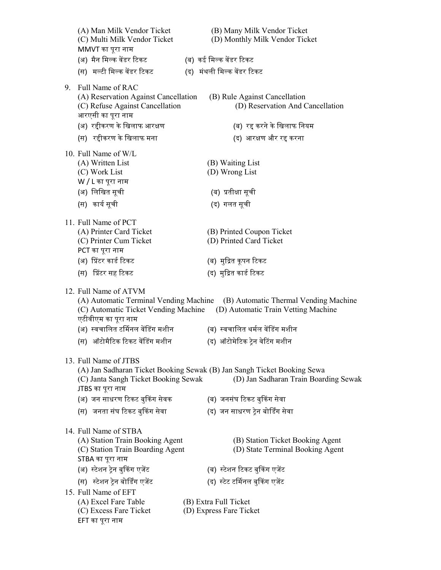|    | (A) Man Milk Vendor Ticket<br>(C) Multi Milk Vendor Ticket<br>MMVT का पूरा नाम                                                 | (B) Many Milk Vendor Ticket<br>(D) Monthly Milk Vendor Ticket                                                    |
|----|--------------------------------------------------------------------------------------------------------------------------------|------------------------------------------------------------------------------------------------------------------|
|    | (अ) मैन मिल्क वेंडर टिकट                                                                                                       | (ब) कई मिल्क वेंडर टिकट                                                                                          |
|    | (स) मल्टी मिल्क वेंडर टिकट                                                                                                     | (द) मंथली मिल्क वेंडर टिकट                                                                                       |
| 9. | Full Name of RAC                                                                                                               |                                                                                                                  |
|    | (A) Reservation Against Cancellation<br>(C) Refuse Against Cancellation<br>आरएसी का पूरा नाम                                   | (B) Rule Against Cancellation<br>(D) Reservation And Cancellation                                                |
|    | (अ) रद्दीकरण के खिलाफ आरक्षण                                                                                                   | (ब) रद्द करने के खिलाफ नियम                                                                                      |
|    | (स) रहीकरण के खिलाफ मना                                                                                                        | (द) आरक्षण और रद्द करना                                                                                          |
|    | 10. Full Name of W/L<br>(A) Written List<br>(C) Work List<br>W / L का पूरा नाम                                                 | (B) Waiting List<br>(D) Wrong List                                                                               |
|    | (अ) लिखित सूची                                                                                                                 | (ब) प्रतीक्षा सूची                                                                                               |
|    | (स) कार्य सूची                                                                                                                 | (द) गलत सूची                                                                                                     |
|    |                                                                                                                                |                                                                                                                  |
|    | 11. Full Name of PCT<br>(A) Printer Card Ticket<br>(C) Printer Cum Ticket<br>PCT का पूरा नाम                                   | (B) Printed Coupon Ticket<br>(D) Printed Card Ticket                                                             |
|    | (अ) प्रिंटर कार्ड टिकट                                                                                                         | (ब) मुद्रित कूपन टिकट                                                                                            |
|    | (स) प्रिंटर सह टिकट                                                                                                            | (द) मुद्रित कार्ड टिकट                                                                                           |
|    | 12. Full Name of ATVM<br>(A) Automatic Terminal Vending Machine<br>(C) Automatic Ticket Vending Machine<br>एटीवीएम का पूरा नाम | (B) Automatic Thermal Vending Machine<br>(D) Automatic Train Vetting Machine                                     |
|    | (अ) स्वचालित टर्मिनल वेंडिंग मशीन                                                                                              | (ब) स्वचालित थर्मल वेंडिंग मशीन                                                                                  |
|    | (स) ऑटोमैटिक टिकट वेंडिंग मशीन                                                                                                 | (द) ऑटोमेटिक ट्रेन वेटिंग मशीन                                                                                   |
|    | 13. Full Name of JTBS                                                                                                          |                                                                                                                  |
|    | (C) Janta Sangh Ticket Booking Sewak<br>JTBS का पूरा नाम                                                                       | (A) Jan Sadharan Ticket Booking Sewak (B) Jan Sangh Ticket Booking Sewa<br>(D) Jan Sadharan Train Boarding Sewak |
|    | (अ) जन साधरण टिकट बुकिंग सेवक                                                                                                  | (ब) जनसंघ टिकट बुकिंग सेवा                                                                                       |
|    | (स) जनता संघ टिकट बुकिंग सेवा                                                                                                  | (द) जन साधरण ट्रेन बोर्डिंग सेवा                                                                                 |
|    | 14. Full Name of STBA<br>(A) Station Train Booking Agent                                                                       | (B) Station Ticket Booking Agent                                                                                 |
|    | (C) Station Train Boarding Agent<br>STBA का पूरा नाम                                                                           | (D) State Terminal Booking Agent                                                                                 |
|    | (अ) स्टेशन ट्रेन बुकिंग एजेंट                                                                                                  | (ब) स्टेशन टिकट बुकिंग एजेंट                                                                                     |
|    | (स) स्टेशन ट्रेन बोर्डिंग एजेंट                                                                                                | (द) स्टेट टर्मिनल बुकिंग एजेंट                                                                                   |
|    | 15. Full Name of EFT<br>(A) Excel Fare Table<br>(C) Excess Fare Ticket<br>EFT का पूरा नाम                                      | (B) Extra Full Ticket<br>(D) Express Fare Ticket                                                                 |
|    |                                                                                                                                |                                                                                                                  |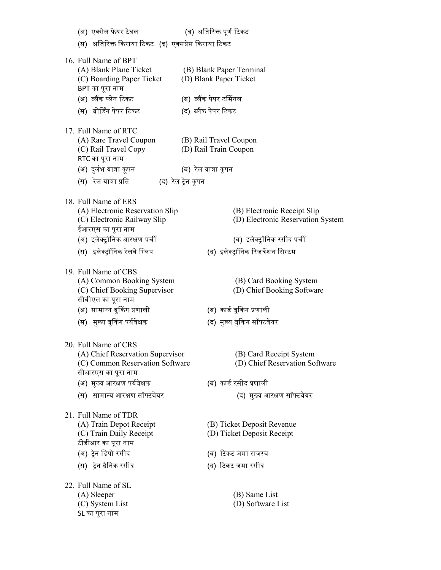(अ) एक्सेल फेयर टेबल (ब) अतिरिक्त पूर्ण टिकट (स) अतिरिक्त किराया टिकट (द) एक्सप्रेस किराया टिकट 16. Full Name of BPT (A) Blank Plane Ticket (B) Blank Paper Terminal (C) Boarding Paper Ticket (D) Blank Paper Ticket BPT का पूरा नाम (अ) ब्लैंक प्लेन टिकट (ब) ब्लैंक पेपर टर्मिनल (स) बोर्डिंग पेपर टिकट (द) ब्लैंक पेपर टिकट 17. Full Name of RTC (A) Rare Travel Coupon (B) Rail Travel Coupon (C) Rail Travel Copy (D) Rail Train Coupon RTC का पूरा नाम (अ) दुर्लभ यात्रा कूपन (ब) रेल यात्रा कूपन (स) रेल यात्रा प्रति (द) रेल ट्रेन कूपन 18. Full Name of ERS (A) Electronic Reservation Slip (B) Electronic Receipt Slip (C) Electronic Railway Slip (D) Electronic Reservation System ईआरएस का पूरा नाम (अ) इलेᮝॉिनक आरᭃण पचᱮ (ब) इलेᮝॉिनक रसीद पचᱮ (स) इलेक्ट्रॉनिक रेलवे स्लिप (द) इलेक्ट्रॉनिक रिजर्वेशन सिस्टम 19. Full Name of CBS (A) Common Booking System (B) Card Booking System (C) Chief Booking Supervisor (D) Chief Booking Software सीबीएस का पूरा नाम (अ) सामान्य बुकिंग प्रणाली (ब) कार्ड बुकिंग प्रणाली (स) मुख्य बुकिंग पर्यवेक्षक (द) मुख्य बुकिंग सॉफ्टवेयर 20. Full Name of CRS (A) Chief Reservation Supervisor (B) Card Receipt System (C) Common Reservation Software (D) Chief Reservation Software सीआरएस का पूरा नाम (अ) मुख्य आरक्षण पर्यवेक्षक (ब) कार्ड रसीद प्रणाली (स) सामान्य आरक्षण सॉफ्टवेयर (द) मुख्य आरक्षण सॉफ्टवेयर 21. Full Name of TDR (A) Train Depot Receipt (B) Ticket Deposit Revenue (C) Train Daily Receipt (D) Ticket Deposit Receipt टीडीआर का पूरा नाम (अ) ᮝेन िडपो रसीद (ब) ᳯटकट जमा राज᭭व (स) ᮝेन दिैनक रसीद (द) ᳯटकट जमा रसीद 22. Full Name of SL (A) Sleeper (B) Same List (C) System List (D) Software List SL का पूरा नाम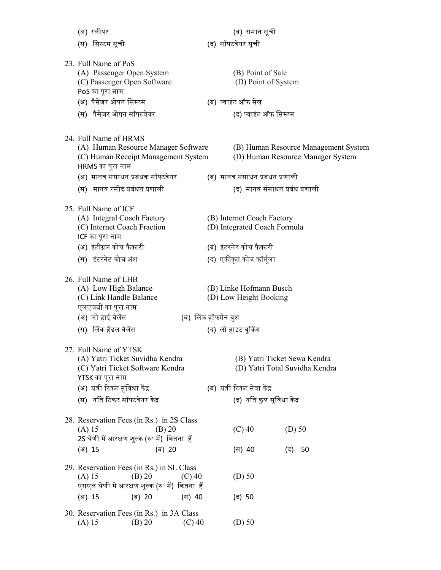| (अ) स्लीपर                                                          |        |          |                     | (ब) समान सूची                                              |          |                                      |  |
|---------------------------------------------------------------------|--------|----------|---------------------|------------------------------------------------------------|----------|--------------------------------------|--|
| (स) सिस्टम सूची                                                     |        |          |                     | (द) सॉफ्टवेयर सूची                                         |          |                                      |  |
|                                                                     |        |          |                     |                                                            |          |                                      |  |
| 23. Full Name of PoS                                                |        |          |                     |                                                            |          |                                      |  |
| (A) Passenger Open System<br>(C) Passenger Open Software            |        |          |                     | (B) Point of Sale<br>(D) Point of System                   |          |                                      |  |
| PoS का पूरा नाम                                                     |        |          |                     |                                                            |          |                                      |  |
| (अ) पैसेंजर ओपन सिस्टम                                              |        |          |                     | (ब) प्वाइंट ऑफ सेल                                         |          |                                      |  |
| (स) पैसेंजर ओपन सॉफ्टवेयर                                           |        |          |                     | (द) प्वाइंट ऑफ सिस्टम                                      |          |                                      |  |
|                                                                     |        |          |                     |                                                            |          |                                      |  |
| 24. Full Name of HRMS                                               |        |          |                     |                                                            |          |                                      |  |
| (A) Human Resource Manager Software                                 |        |          |                     |                                                            |          | (B) Human Resource Management System |  |
| (C) Human Receipt Management System                                 |        |          |                     |                                                            |          | (D) Human Resource Manager System    |  |
| HRMS का पूरा नाम<br>(अ)  मानव संसाधन प्रबंधक सॉफ्टवेयर              |        |          |                     | (ब) मानव संसाधन प्रबंधन प्रणाली                            |          |                                      |  |
| (स) मानव रसीद प्रबंधन प्रणाली                                       |        |          |                     | (द) मानव संसाधन प्रबंध प्रणाली                             |          |                                      |  |
|                                                                     |        |          |                     |                                                            |          |                                      |  |
| 25. Full Name of ICF                                                |        |          |                     |                                                            |          |                                      |  |
| (A) Integral Coach Factory<br>(C) Internet Coach Fraction           |        |          |                     | (B) Internet Coach Factory<br>(D) Integrated Coach Formula |          |                                      |  |
| ICF का पूरा नाम                                                     |        |          |                     |                                                            |          |                                      |  |
| (अ) इंटीग्रल कोच फैक्टरी                                            |        |          |                     | (ब) इंटरनेट कोच फैक्टरी                                    |          |                                      |  |
| (स) इंटरनेट कोच अंश                                                 |        |          |                     | (द) एकीकृत कोच फॉर्मूला                                    |          |                                      |  |
|                                                                     |        |          |                     |                                                            |          |                                      |  |
| 26. Full Name of LHB                                                |        |          |                     |                                                            |          |                                      |  |
| (A) Low High Balance                                                |        |          |                     | (B) Linke Hofmann Busch                                    |          |                                      |  |
| (C) Link Handle Balance<br>एलएचबी का पूरा नाम                       |        |          |                     | (D) Low Height Booking                                     |          |                                      |  |
| (अ) लो हाई बैलेंस                                                   |        |          | (ब) लिंक हॉफमैन बुश |                                                            |          |                                      |  |
| (स) लिंक हैंडल बैलेंस                                               |        |          |                     | (द) लो हाइट बुकिंग                                         |          |                                      |  |
|                                                                     |        |          |                     |                                                            |          |                                      |  |
| 27. Full Name of YTSK                                               |        |          |                     |                                                            |          |                                      |  |
| (A) Yatri Ticket Suvidha Kendra<br>(C) Yatri Ticket Software Kendra |        |          |                     | (B) Yatri Ticket Sewa Kendra                               |          | (D) Yatri Total Suvidha Kendra       |  |
| YTSK का पूरा नाम                                                    |        |          |                     |                                                            |          |                                      |  |
| (अ) यत्री टिकट सुविधा केंद्र                                        |        |          |                     | (ब) यत्री टिकट सेवा केंद्र                                 |          |                                      |  |
| (स) यति टिकट सॉफ्टवेयर केंद्र                                       |        |          |                     | (द) यति कुल सुविधा केंद्र                                  |          |                                      |  |
| 28. Reservation Fees (in Rs.) in 2S Class                           |        |          |                     |                                                            |          |                                      |  |
| $(A)$ 15                                                            | (B) 20 |          |                     | $(C)$ 40                                                   | $(D)$ 50 |                                      |  |
| 2S श्रेणी में आरक्षण शुल्क (रु॰ में) कितना हैं                      |        |          |                     |                                                            |          |                                      |  |
| (अ) 15                                                              | (ब) 20 |          |                     | (स) 40                                                     | (द)      | 50                                   |  |
| 29. Reservation Fees (in Rs.) in SL Class                           |        |          |                     |                                                            |          |                                      |  |
| $(A)$ 15                                                            | (B) 20 | $(C)$ 40 |                     | $(D)$ 50                                                   |          |                                      |  |
| एसएल श्रेणी में आरक्षण शुल्क (रु॰ में)  कितना  हैं                  |        |          |                     |                                                            |          |                                      |  |
| (अ) 15                                                              | (ब) 20 | (स) 40   |                     | (द) 50                                                     |          |                                      |  |
| 30. Reservation Fees (in Rs.) in 3A Class                           |        |          |                     |                                                            |          |                                      |  |
| $(A)$ 15                                                            | (B) 20 | $(C)$ 40 |                     | $(D)$ 50                                                   |          |                                      |  |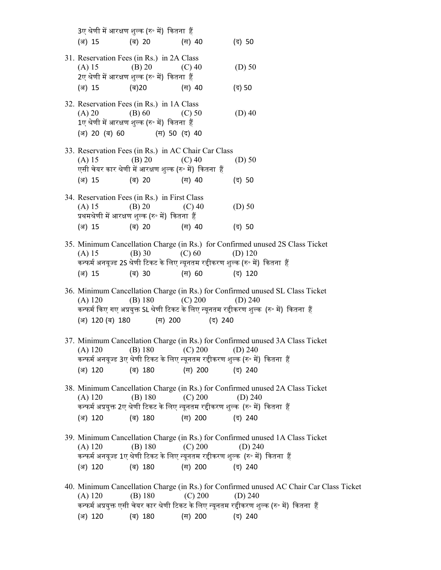|                           | 3ए श्रेणी में आरक्षण शुल्क (रु॰ में) कितना हैं                                                                                                         |                    |                                                                                                                                                                                                      |
|---------------------------|--------------------------------------------------------------------------------------------------------------------------------------------------------|--------------------|------------------------------------------------------------------------------------------------------------------------------------------------------------------------------------------------------|
| (अ) 15                    | (ब) 20                                                                                                                                                 | (स) 40             | (द) 50                                                                                                                                                                                               |
| (A) 15<br>(ब)20<br>(अ) 15 | 31. Reservation Fees (in Rs.) in 2A Class<br>$(B) 20$ (C) 40<br>2ए श्रेणी में आरक्षण शुल्क (रु॰ में) कितना हैं                                         | (स) 40             | $(D)$ 50<br>(द) 50                                                                                                                                                                                   |
| (A) 20                    | 32. Reservation Fees (in Rs.) in 1A Class<br>$(B) 60$ (C) 50<br>1ए श्रेणी में आरक्षण शुल्क (रु॰ में)  कितना  हैं<br>(अ) 20 (ब) 60 (स) 50 (द) 40        |                    | $(D)$ 40                                                                                                                                                                                             |
| (A) 15<br>(अ) 15          | 33. Reservation Fees (in Rs.) in AC Chair Car Class<br>$(B) 20$ (C) 40<br>एसी चेयर कार श्रेणी में आरक्षण शुल्क (रु॰ में) कितना हैं<br>(ब) 20<br>(स) 40 |                    | $(D)$ 50<br>(द) 50                                                                                                                                                                                   |
| (A) 15                    | 34. Reservation Fees (in Rs.) in First Class<br>$(B) 20$ (C) 40<br>प्रथमश्रेणी में आरक्षण शुल्क (रु॰ में) कितना हैं                                    |                    | $(D)$ 50                                                                                                                                                                                             |
| (अ) 15<br>(A) 15          | (ब) 20<br>(स) 40<br>(C) 60<br>$(B)$ 30                                                                                                                 |                    | (द) 50<br>35. Minimum Cancellation Charge (in Rs.) for Confirmed unused 2S Class Ticket<br>(D) $120$                                                                                                 |
| (अ) 15                    | (स) 60<br>(ब) 30                                                                                                                                       |                    | कन्फर्म अनयूज्ड 2S श्रेणी टिकट के लिए न्यूनतम रद्दीकरण शुल्क (रु॰ में) कितना हैं<br>(द) 120                                                                                                          |
| $(A)$ 120                 | (B) 180 		 (C) 200 		 (D) 240<br>(अ) 120 (ब) 180 (स) 200 (द) 240                                                                                       |                    | 36. Minimum Cancellation Charge (in Rs.) for Confirmed unused SL Class Ticket<br>कन्फर्म किए गए अप्रयुक्त SL श्रेणी टिकट के लिए न्यूनतम रद्दीकरण शुल्क  (रु॰ में)  कितना  हैं                        |
| (अ) 120                   | (A) 120 	(B) 180 	(C) 200 	(D) 240<br>(ब) 180                                                                                                          | (स) 200            | 37. Minimum Cancellation Charge (in Rs.) for Confirmed unused 3A Class Ticket<br>कन्फर्म अनयूज्ड 3ए श्रेणी टिकट के लिए न्यूनतम रद्दीकरण शुल्क (रु॰ में)  कितना  हैं<br>(द) 240                       |
| $(A)$ 120<br>(अ) 120      | (B) 180<br>(ब) 180                                                                                                                                     | (C) 200<br>(स) 200 | 38. Minimum Cancellation Charge (in Rs.) for Confirmed unused 2A Class Ticket<br>(D) $240$<br>कन्फर्म अप्रयुक्त 2ए श्रेणी टिकट के लिए न्यूनतम रद्दीकरण शुल्क  (रु॰ में)  कितना  हैं<br>(द) 240       |
| $(A)$ 120<br>(अ) 120      | (B) 180<br>(ब) 180 (स) 200 (द) 240                                                                                                                     | (C) 200            | 39. Minimum Cancellation Charge (in Rs.) for Confirmed unused 1A Class Ticket<br>$(D)$ 240<br>कन्फर्म अनयूज्ड 1ए श्रेणी टिकट के लिए न्यूनतम रद्दीकरण शुल्क (रु॰ में) कितना हैं                       |
| $(A)$ 120                 | (B) 180                                                                                                                                                | (C) 200            | 40. Minimum Cancellation Charge (in Rs.) for Confirmed unused AC Chair Car Class Ticket<br>(D) 240<br>कन्फर्म अप्रयुक्त एसी चेयर कार श्रेणी टिकट के लिए न्यूनतम रद्दीकरण शुल्क (रु॰ में)  कितना  हैं |

(अ) 120 (ब) 180 (स) 200 (द) 240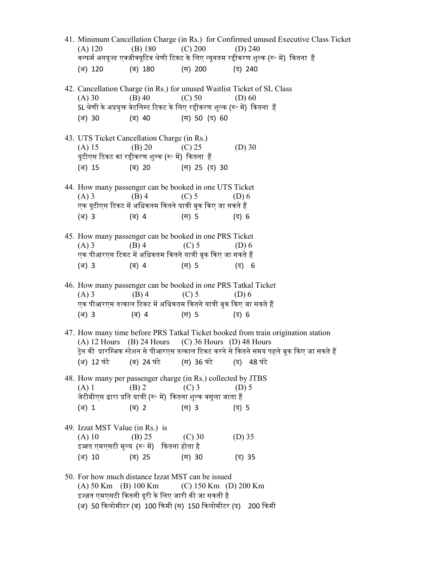- 41. Minimum Cancellation Charge (in Rs.) for Confirmed unused Executive Class Ticket (A) 120 (B) 180 (C) 200 (D) 240 कन्फर्म अनयूज्ड एक्जीक्यूटिव श्रेणी टिकट के लिए न्यूनतम रद्दीकरण शुल्क (रु॰ में) कितना हैं (अ) 120 (ब) 180 (स) 200 (द) 240 42. Cancellation Charge (in Rs.) for unused Waitlist Ticket of SL Class (A) 30 (B) 40 (C) 50 (D) 60 SL श्रेणी के अप्रयुक्त वेटलिस्ट टिकट के लिए रद्दीकरण शुल्क (रु॰ में) कितना हैं (अ) 30 (ब) 40 (स) 50 (द) 60 43. UTS Ticket Cancellation Charge (in Rs.) (A)  $15$  (B)  $20$  (C)  $25$  (D)  $30$ यूटीएस टिकट का रद्दीकरण शुल्क (रु॰ में) कितना हैं (अ) 15 (ब) 20 (स) 25 (द) 30 44. How many passenger can be booked in one UTS Ticket (A) 3 (B) 4 (C) 5 (D) 6 एक यूटीएस टिकट में अधिकतम कितने यात्री बुक किए जा सकते हैं (अ) 3 (ब) 4 (स) 5 (द) 6 45. How many passenger can be booked in one PRS Ticket (A) 3 (B) 4 (C) 5 (D) 6 एक पीआरएस टिकट में अधिकतम कितने यात्री बुक किए जा सकते हैं (अ) 3 (ब) 4 (स) 5 (द) 6 46. How many passenger can be booked in one PRS Tatkal Ticket (A) 3 (B) 4 (C) 5 (D) 6 एक पीआरएस तत्काल टिकट में अधिकतम कितने यात्री बुक किए जा सकते हैं (अ) 3 (ब) 4 (स) 5 (द) 6 47. How many time before PRS Tatkal Ticket booked from train origination station (A) 12 Hours (B) 24 Hours (C) 36 Hours (D) 48 Hours ट्रेन की प्रारम्भिक स्टेशन से पीआरएस तत्काल टिकट करने से कितने समय पहले बुक किए जा सकते हैं (अ) 12 घंटे (ब) 24 घंटे (स) 36 घंटे (द) 48 घंटे 48. How many per passenger charge (in Rs.) collected by JTBS (A) 1 (B) 2 (C) 3 (D) 5 जेटीबीएस द्वारा प्रति यात्री (रु॰ में) कितना शल्क वसुला जाता हैं (अ) 1 (ब) 2 (स) 3 (द) 5 49. Izzat MST Value (in Rs.) is (A) 10 (B) 25 (C) 30 (D) 35 इज्जत एमएसटी मूल्य (रु॰ में) कितना होता है (अ) 10 (ब) 25 (स) 30 (द) 35 50. For how much distance Izzat MST can be issued (A) 50 Km (B) 100 Km (C) 150 Km (D) 200 Km इज्ज़त एमएसटी कितनी दूरी के लिए जारी की जा सकती है
	- (अ) 50 किलोमीटर (ब) 100 किमी (स) 150 किलोमीटर (द) 200 किमी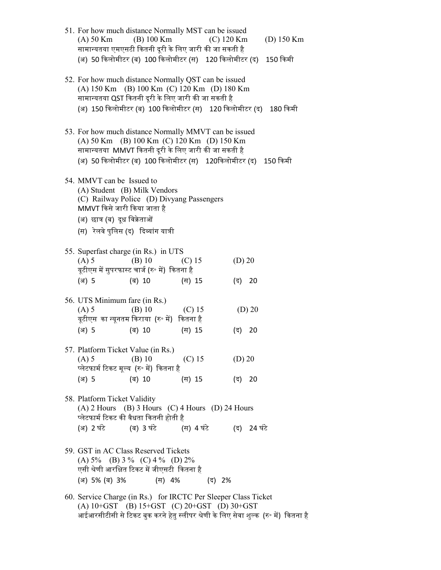| 51. For how much distance Normally MST can be issued<br>$(A)$ 50 Km<br>सामान्यतया एमएसटी कितनी दूरी के लिए जारी की जा सकती है                                                                                                 | (B) 100 Km         |                    | $(C)$ 120 Km |                       | (D) $150 \text{ Km}$ |
|-------------------------------------------------------------------------------------------------------------------------------------------------------------------------------------------------------------------------------|--------------------|--------------------|--------------|-----------------------|----------------------|
| (अ) 50 किलोमीटर (ब) 100 किलोमीटर (स)   120 किलोमीटर (द)                                                                                                                                                                       |                    |                    |              |                       | 150 किमी             |
| 52. For how much distance Normally QST can be issued<br>(A) 150 Km (B) 100 Km (C) 120 Km (D) 180 Km<br>सामान्यतया QST कितनी दूरी के लिए जारी की जा सकती है<br>(अ) 150 किलोमीटर (ब) 100 किलोमीटर (स) 120 किलोमीटर (द) 180 किमी |                    |                    |              |                       |                      |
| 53. For how much distance Normally MMVT can be issued<br>(A) 50 Km (B) 100 Km (C) 120 Km (D) 150 Km<br>सामान्यतया MMVT कितनी दूरी के लिए जारी की जा सकती है<br>(अ) 50 किलोमीटर (ब) 100 किलोमीटर (स)   120किलोमीटर (द)         |                    |                    |              |                       | 150 किमी             |
| 54. MMVT can be Issued to<br>(A) Student (B) Milk Vendors<br>(C) Railway Police (D) Divyang Passengers<br>MMVT किसे जारी किया जाता है<br>(अ) छात्र (ब) दूध विक्रेताओं<br>(स) रेलवे पुलिस (द) दिव्यांग यात्री                  |                    |                    |              |                       |                      |
| 55. Superfast charge (in Rs.) in UTS<br>$(A)$ 5<br>यूटीएस में सुपरफास्ट चार्ज (रु॰ में)  कितना है<br>(अ) 5                                                                                                                    | $(B)$ 10<br>(ब) 10 | $(C)$ 15<br>(स) 15 |              | $(D)$ 20<br>(द) 20    |                      |
| 56. UTS Minimum fare (in Rs.)<br>$(A)$ 5<br>यूटीएस का न्यूनतम किराया (रु॰ में) कितना है<br>(अ) 5                                                                                                                              | $(B)$ 10<br>(ब) 10 | $(C)$ 15<br>(स) 15 |              | $(D)$ 20<br>20<br>(द) |                      |
| 57. Platform Ticket Value (in Rs.)<br>$(A)$ 5<br>प्लेटफार्म टिकट मूल्य (रु॰ में) कितना है<br>(अ) 5                                                                                                                            | $(B)$ 10<br>(ब) 10 | $(C)$ 15<br>(स) 15 |              | $(D)$ 20<br>(द) 20    |                      |
| 58. Platform Ticket Validity<br>$(A)$ 2 Hours $(B)$ 3 Hours $(C)$ 4 Hours $(D)$ 24 Hours<br>प्लेटफार्म टिकट की वैधता कितनी होती है                                                                                            |                    |                    |              |                       |                      |
| (अ) 2 घंटे (ब) 3 घंटे (स) 4 घंटे (द) 24 घंटे                                                                                                                                                                                  |                    |                    |              |                       |                      |
| 59. GST in AC Class Reserved Tickets<br>(A) $5\%$ (B) $3\%$ (C) $4\%$ (D) $2\%$<br>एसी श्रेणी आरक्षित टिकट में जीएसटी  कितना है<br>(अ) 5% (ब) 3%                                                                              | (स) 4%             |                    | (द) 2%       |                       |                      |
| 60. Service Charge (in Rs.) for IRCTC Per Sleeper Class Ticket<br>(A) $10+GST$ (B) $15+GST$ (C) $20+GST$ (D) $30+GST$                                                                                                         |                    |                    |              |                       |                      |

आईआरसीटीसी से टिकट बुक करने हेतु स्लीपर श्रेणी के लिए सेवा शुल्क <mark>(रु॰ में) कितना</mark> है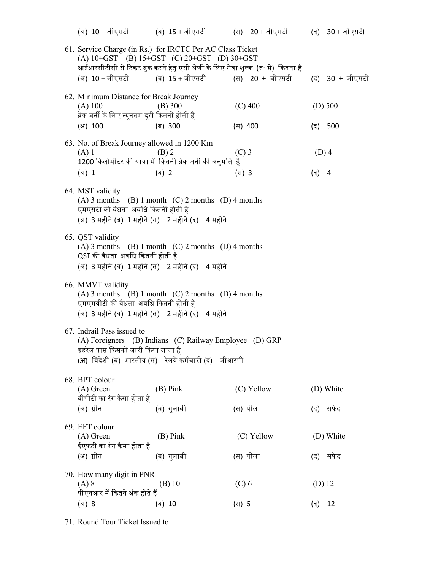|                                                                                                               | (अ) 10+जीएसटी         (ब) 15+जीएसटी          (स)   20+जीएसटी          (द)   30+जीएसटी                                                     |            |          |                 |
|---------------------------------------------------------------------------------------------------------------|-------------------------------------------------------------------------------------------------------------------------------------------|------------|----------|-----------------|
| 61. Service Charge (in Rs.) for IRCTC Per AC Class Ticket                                                     | (A) $10+GST$ (B) $15+GST$ (C) $20+GST$ (D) $30+GST$<br>आईआरसीटीसी से टिकट बुक करने हेतु एसी श्रेणी के लिए सेवा शुल्क  (रु॰ में)  कितना है |            |          |                 |
|                                                                                                               | (अ) 10+जीएसटी (ब) 15+जीएसटी (स) 20 + जीएसटी                                                                                               |            |          | (द) 30 + जीएसटी |
| 62. Minimum Distance for Break Journey<br>$(A)$ 100<br>ब्रेक जर्नी के लिए न्यूनतम दूरी कितनी होती है          | $(B)$ 300                                                                                                                                 | $(C)$ 400  |          | $(D)$ 500       |
| (अ) 100                                                                                                       | (ब) 300                                                                                                                                   | (स) 400    |          | (द) 500         |
| 63. No. of Break Journey allowed in 1200 Km<br>$(A)$ 1                                                        | $(B)$ 2<br>1200 किलोमीटर की यात्रा में  कितनी ब्रेक जर्नी की अनुमति  है                                                                   | $(C)$ 3    | $(D)$ 4  |                 |
| (अ) 1                                                                                                         | (ब) 2                                                                                                                                     | (स) 3      | (द) 4    |                 |
| 64. MST validity<br>एमएसटी की वैधता अवधि कितनी होती है<br>(अ) 3 महीने (ब) 1 महीने (स) 2 महीने (द) 4 महीने     | $(A)$ 3 months $(B)$ 1 month $(C)$ 2 months $(D)$ 4 months                                                                                |            |          |                 |
| 65. QST validity<br>QST की वैधता अवधि कितनी होती है<br>(अ) 3 महीने (ब) 1 महीने (स) 2 महीने (द) 4 महीने        | $(A)$ 3 months $(B)$ 1 month $(C)$ 2 months $(D)$ 4 months                                                                                |            |          |                 |
| 66. MMVT validity<br>एमएमवीटी की वैधता  अवधि कितनी होती है<br>(अ) 3 महीने (ब) 1 महीने (स) 2 महीने (द) 4 महीने | $(A)$ 3 months $(B)$ 1 month $(C)$ 2 months $(D)$ 4 months                                                                                |            |          |                 |
| 67. Indrail Pass issued to<br>इंडरेल पास किसको जारी किया जाता है                                              | (A) Foreigners (B) Indians (C) Railway Employee (D) GRP<br>(अ) विदेशी (ब) भारतीय (स) रेलवे कर्मचारी (द) जीआरपी                            |            |          |                 |
| 68. BPT colour<br>$(A)$ Green<br>बीपीटी का रंग कैसा होता है                                                   | $(B)$ Pink                                                                                                                                | (C) Yellow |          | (D) White       |
| (अ) ग्रीन                                                                                                     | (ब) गुलाबी                                                                                                                                | (स) पीला   | (द)      | सफेद            |
| 69. EFT colour<br>$(A)$ Green<br>ईएफ़टी का रंग कैसा होता है                                                   | $(B)$ Pink                                                                                                                                | (C) Yellow |          | (D) White       |
| (अ) ग्रीन                                                                                                     | (ब) गुलाबी                                                                                                                                | (स) पीला   | (द)      | सफेद            |
| 70. How many digit in PNR<br>$(A)$ 8<br>पीएनआर में कितने अंक होते हैं                                         | $(B)$ 10                                                                                                                                  | $(C)$ 6    | $(D)$ 12 |                 |
| (अ) 8                                                                                                         | (ब) 10                                                                                                                                    | (स) 6      | (द)      | 12              |
|                                                                                                               |                                                                                                                                           |            |          |                 |

71. Round Tour Ticket Issued to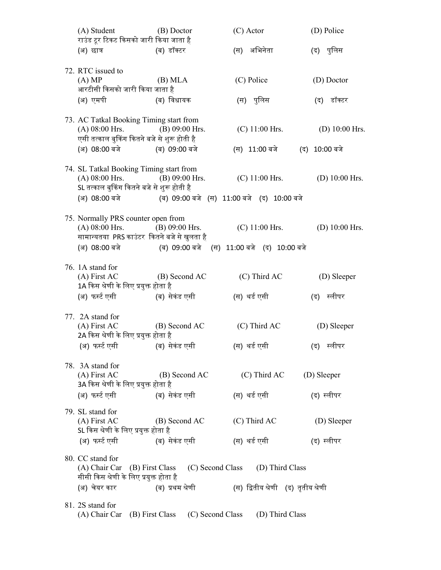| (A) Student<br>राउंड टूर टिकट किसको जारी किया जाता है                                                                       | (B) Doctor                                              | (C) Actor                                                                                             | (D) Police                        |
|-----------------------------------------------------------------------------------------------------------------------------|---------------------------------------------------------|-------------------------------------------------------------------------------------------------------|-----------------------------------|
| (अ) छात्र                                                                                                                   | (ब) डॉक्टर                                              | (स) अभिनेता                                                                                           | (द) पुलिस                         |
| 72. RTC issued to<br>(A) MP<br>आरटीसी किसको जारी किया जाता है                                                               | (B) <b>MLA</b>                                          | (C) Police                                                                                            | (D) Doctor                        |
| (अ) एमपी                                                                                                                    | (ब) विधायक                                              | (स) पुलिस                                                                                             | (द) डॉक्टर                        |
| 73. AC Tatkal Booking Timing start from<br>$(A)$ 08:00 Hrs.<br>एसी तत्काल बुकिंग कितने बजे से शुरू होती है<br>(अ) 08:00 बजे | $(B) 09:00$ Hrs.<br>(ब) 09:00 बजे                       | $(C)$ 11:00 Hrs.<br>(स) 11:00 बजे                                                                     | (D) $10:00$ Hrs.<br>(द) 10:00 बजे |
| 74. SL Tatkal Booking Timing start from<br>$(A) 08:00$ Hrs. $(B) 09:00$ Hrs.<br>SL तत्काल बुकिंग कितने बजे से शुरू होती है  | (अ) 08:00 बजे (ब) 09:00 बजे (स) 11:00 बजे (द) 10:00 बजे | $(C)$ 11:00 Hrs.                                                                                      | (D) $10:00$ Hrs.                  |
| 75. Normally PRS counter open from<br>$(A)$ 08:00 Hrs.<br>सामान्यतया PRS काउंटर कितने बजे से खुलता है                       | $(B) 09:00$ Hrs.                                        | $(C)$ 11:00 Hrs.<br>(अ) 08:00 बजे (ब) 09:00 बजे (स) 11:00 बजे (द) 10:00 बजे                           | (D) $10:00$ Hrs.                  |
| 76. 1A stand for<br>(A) First AC<br>1A किस श्रेणी के लिए प्रयुक्त होता है<br>(अ) फर्स्ट एसी (ब) सेकंड एसी                   | (B) Second AC                                           | (C) Third AC<br>(स) थर्ड एसी                                                                          | (D) Sleeper<br>(द) स्लीपर         |
| 77. 2A stand for<br>$(A)$ First AC<br>2A किस श्रेणी के लिए प्रयुक्त होता है<br>(अ) फर्स्ट एसी (ब) सेकंड एसी                 | (B) Second AC                                           | $(C)$ Third AC<br>(स) थर्ड एसी                                                                        | (D) Sleeper<br>(द) स्लीपर         |
| 78. 3A stand for<br>(A) First AC<br>3A किस श्रेणी के लिए प्रयुक्त होता है<br>(अ) फर्स्ट एसी                                 | (B) Second AC<br>(ब) सेकंड एसी                          | $(C)$ Third AC<br>(स) थर्ड एसी                                                                        | (D) Sleeper<br>(द) स्लीपर         |
| 79. SL stand for<br>$(A)$ First AC<br>SL किस श्रेणी के लिए प्रयुक्त होता है<br>(अ) फर्स्ट एसी                               | (B) Second AC<br>(ब) सेकंड एसी                          | (C) Third AC<br>(स) थर्ड एसी                                                                          | (D) Sleeper<br>(द) स्लीपर         |
| 80. CC stand for<br>सीसी किस श्रेणी के लिए प्रयुक्त होता है<br>(अ) चेयर कार                                                 | (ब) प्रथम श्रेणी                                        | (A) Chair Car (B) First Class (C) Second Class (D) Third Class<br>(स) द्वितीय श्रेणी (द) तृतीय श्रेणी |                                   |
| 81. 2S stand for                                                                                                            |                                                         | (A) Chair Car (B) First Class (C) Second Class (D) Third Class                                        |                                   |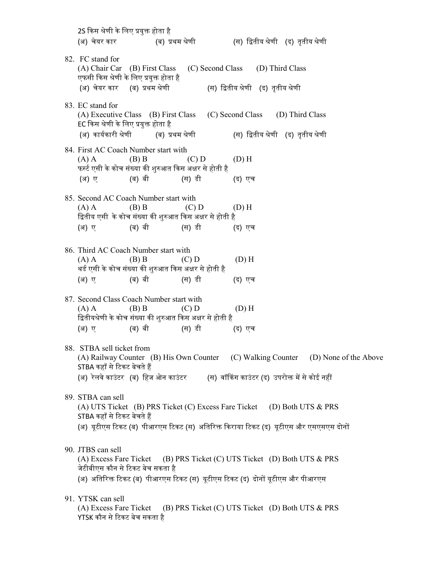2S किस श्रेणी के लिए प्रयुक्त होता है (अ) चेयर कार (ब) प्रथम श्रेणी (स) द्वितीय श्रेणी (द) तृतीय श्रेणी 82. FC stand for (A) Chair Car (B) First Class (C) Second Class (D) Third Class एफसी किस श्रेणी के लिए प्रयुक्त होता है (अ) चेयर कार (ब) प्रथम श्रेणी (स) द्वितीय श्रेणी (द) तृतीय श्रेणी 83. EC stand for (A) Executive Class (B) First Class (C) Second Class (D) Third Class EC किस श्रेणी के लिए प्रयुक्त होता है (अ) कार्यकारी श्रेणी (ब) प्रथम श्रेणी (स) द्वितीय श्रेणी (द) तृतीय श्रेणी 84. First AC Coach Number start with (A) A (B) B (C) D (D) H फर्स्ट एसी के कोच संख्या की शुरुआत किस अक्षर से होती है (अ) ए (ब) बी (स) डी (द) एच 85. Second AC Coach Number start with (A) A (B) B (C) D (D) H द्वितीय एसी के कोच संख्या की शुरुआत किस अक्षर से होती है (अ) ए (ब) बी (स) डी (द) एच 86. Third AC Coach Number start with (A) A (B) B (C) D (D) H थर्ड एसी के कोच संख्या की शुरुआत किस अक्षर से होती है (अ) ए (ब) बी (स) डी (द) एच 87. Second Class Coach Number start with (A) A (B) B (C) D (D) H द्वितीयश्रेणी के कोच संख्या की शुरुआत किस अक्षर से होती है (अ) ए (ब) बी (स) डी (द) एच 88. STBA sell ticket from (A) Railway Counter (B) His Own Counter (C) Walking Counter (D) None of the Above STBA कहाँ से टिकट बेचते हैं (अ) रेलवे काउंटर (ब) हिज ओन काउंटर (स) वॉकिंग काउंटर (द) उपरोक्त में से कोई नहीं 89. STBA can sell (A) UTS Ticket (B) PRS Ticket (C) Excess Fare Ticket (D) Both UTS & PRS STBA कहाँ से टिकट बेचते हैं (अ) यूटीएस टिकट (ब) पीआरएस टिकट (स) अतिरिक्त किराया टिकट (द) यूटीएस और एसएसएस दोनों 90. JTBS can sell (A) Excess Fare Ticket (B) PRS Ticket (C) UTS Ticket (D) Both UTS & PRS जेटीबीएस कौन से ᳯटकट बेच सकता है (अ) अतिरिक्त टिकट (ब) पीआरएस टिकट (स) यूटीएस टिकट (द) दोनों यूटीएस और पीआरएस 91. YTSK can sell (A) Excess Fare Ticket (B) PRS Ticket (C) UTS Ticket (D) Both UTS & PRS YTSK कौन से टिकट बेच सकता है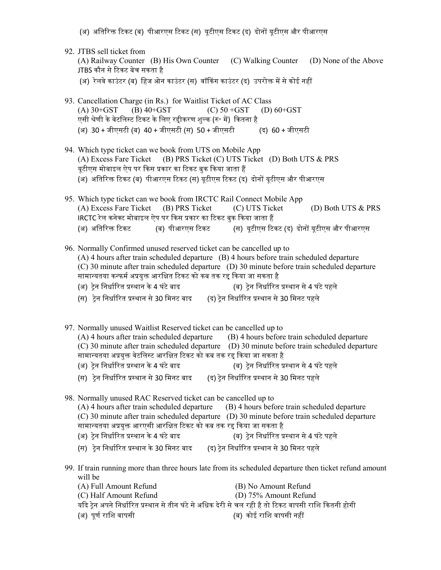- (अ) अतिरिक्त टिकट (ब) पीआरएस टिकट (स) यूटीएस टिकट (द) दोनों यूटीएस और पीआरएस
- 92. JTBS sell ticket from (A) Railway Counter (B) His Own Counter (C) Walking Counter (D) None of the Above JTBS कौन से ᳯटकट बेच सकता है (अ) रेलवे काउंटर (ब) हिज ओन काउंटर (स) वॉकिंग काउंटर (द) उपरोक्त में से कोई नहीं 93. Cancellation Charge (in Rs.) for Waitlist Ticket of AC Class (A)  $30+GST$  (B)  $40+GST$  (C)  $50+GST$  (D)  $60+GST$ एसी श्रेणी के वेटलिस्ट टिकट के लिए रहीकरण शुल्क (रु॰ में) कितना है (अ) 30 + जीएसटी (ब) 40 + जीएसटी (स) 50 + जीएसटी (द) 60 + जीएसटी 94. Which type ticket can we book from UTS on Mobile App (A) Excess Fare Ticket (B) PRS Ticket (C) UTS Ticket (D) Both UTS & PRS यूटीएस मोबाइल ऐप पर किस प्रकार का टिकट बुक किया जाता हैं (अ) अतिरिक्त टिकट (ब) पीआरएस टिकट (स) यटीएस टिकट (द) दोनों यटीएस और पीआरएस 95. Which type ticket can we book from IRCTC Rail Connect Mobile App (A) Excess Fare Ticket (B) PRS Ticket (C) UTS Ticket (D) Both UTS & PRS IRCTC रेल कनेक्ट मोबाइल ऐप पर किस प्रकार का टिकट बुक किया जाता हैं (अ) अतिरिक्त टिकट (ब) पीआरएस टिकट (स) यूटीएस टिकट (द) दोनों यूटीएस और पीआरएस 96. Normally Confirmed unused reserved ticket can be cancelled up to (A) 4 hours after train scheduled departure (B) 4 hours before train scheduled departure (C) 30 minute after train scheduled departure (D) 30 minute before train scheduled departure सामान्यतया कन्फर्म अप्रयुक्त आरक्षित टिकट को कब तक रद्द किया जा सकता है (अ) ट्रेन निर्धारित प्रस्थान के 4 घंटे बाद (ब) ट्रेन निर्धारित प्रस्थान से 4 घंटे पहले (स) टेन निर्धारित प्रस्थान से 30 मिनट बाद (द) टेन निर्धारित प्रस्थान से 30 मिनट पहले 97. Normally unused Waitlist Reserved ticket can be cancelled up to (A) 4 hours after train scheduled departure (B) 4 hours before train scheduled departure  $(C)$  30 minute after train scheduled departure  $(D)$  30 minute before train scheduled departure सामान्यतया अप्रयुक्त वेटलिस्ट आरक्षित टिकट को कब तक रद्द किया जा सकता है ्<br>(अ) ट्रेन निर्धारित प्रस्थान के 4 घंटे बाद (ब) ट्रेन निर्धारित प्रस्थान से 4 घंटे पहले (स) टेन निर्धारित प्रस्थान से 30 मिनट बाद (द) टेन निर्धारित प्रस्थान से 30 मिनट पहले 98. Normally unused RAC Reserved ticket can be cancelled up to (A) 4 hours after train scheduled departure (B) 4 hours before train scheduled departure (C) 30 minute after train scheduled departure (D) 30 minute before train scheduled departure सामान्यतया अप्रयुक्त आरएसी आरक्षित टिकट को कब तक रद्द किया जा सकता है (अ) ट्रेन निर्धारित प्रस्थान के 4 घंटे बाद (ब) ट्रेन निर्धारित प्रस्थान से 4 घंटे पहले (स) टेन निर्धारित प्रस्थान के 30 मिनट बाद (द) टेन निर्धारित प्रस्थान से 30 मिनट पहले 99. If train running more than three hours late from its scheduled departure then ticket refund amount will be (A) Full Amount Refund (B) No Amount Refund (C) Half Amount Refund (D) 75% Amount Refund यदि ट्रेन अपने निर्धारित प्रस्थान से तीन घंटे से अधिक देरी से चल रही है तो टिकट वापसी राशि कितनी होगी (अ) पूणᭅ रािश वापसी (ब) कोई रािश वापसी नहᱭ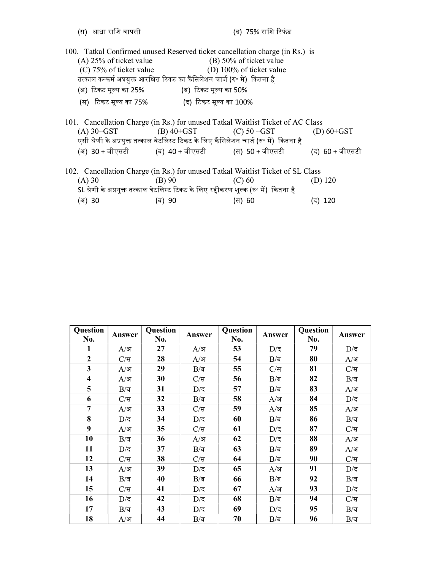| 100. Tatkal Confirmed unused Reserved ticket cancellation charge (in Rs.) is    |                                                                                         |                           |                 |  |  |  |  |  |
|---------------------------------------------------------------------------------|-----------------------------------------------------------------------------------------|---------------------------|-----------------|--|--|--|--|--|
| $(A)$ 25% of ticket value                                                       |                                                                                         | $(B)$ 50% of ticket value |                 |  |  |  |  |  |
| $(C)$ 75% of ticket value<br>(D) 100% of ticket value                           |                                                                                         |                           |                 |  |  |  |  |  |
|                                                                                 | तत्काल कन्फर्म अप्रयुक्त आरक्षित टिकट का कैंसिलेशन चार्ज (रु॰ में)  कितना है            |                           |                 |  |  |  |  |  |
| (अ) टिकट मूल्य का 25%                                                           | (ब) टिकट मूल्य का 50%                                                                   |                           |                 |  |  |  |  |  |
|                                                                                 | (स) टिकट मूल्य का 75% (द) टिकट मूल्य का 100%                                            |                           |                 |  |  |  |  |  |
| 101. Cancellation Charge (in Rs.) for unused Tatkal Waitlist Ticket of AC Class |                                                                                         |                           |                 |  |  |  |  |  |
| $(A)$ 30+GST                                                                    | (B) $40+GST$ (C) $50+GST$                                                               |                           | (D) $60+GST$    |  |  |  |  |  |
|                                                                                 | एसी श्रेणी के अप्रयुक्त तत्काल वेटलिस्ट टिकट के लिए कैंसिलेशन चार्ज (रु॰ में)  कितना है |                           |                 |  |  |  |  |  |
|                                                                                 | (अ) 30+जीएसटी            (ब) 40+जीएसटी            (स) 50+जीएसटी                         |                           | (द) 60 + जीएसटी |  |  |  |  |  |
| 102. Cancellation Charge (in Rs.) for unused Tatkal Waitlist Ticket of SL Class |                                                                                         |                           |                 |  |  |  |  |  |
| (A) 30                                                                          | (B) 90                                                                                  | (C) 60                    | (D) $120$       |  |  |  |  |  |
|                                                                                 | SL श्रेणी के अप्रयुक्त तत्काल वेटलिस्ट टिकट के लिए रद्दीकरण शुल्क (रु॰ में)  कितना है   |                           |                 |  |  |  |  |  |
| (अ) 30                                                                          | (ब) 90                                                                                  | (स) 60                    | (द) 120         |  |  |  |  |  |
|                                                                                 |                                                                                         |                           |                 |  |  |  |  |  |

| Question<br>No.         | Answer           | Question<br>No. | Answer           | Question<br>No. | Answer           | Question<br>No. | Answer           |
|-------------------------|------------------|-----------------|------------------|-----------------|------------------|-----------------|------------------|
| 1                       | $A/\mathsf{F}$   | 27              | $A/\mathsf{F}$   | 53              | $D/\overline{G}$ | 79              | $D/\overline{z}$ |
| $\overline{2}$          | $C/\overline{H}$ | 28              | $A$ /अ           | 54              | $B/\overline{a}$ | 80              | $A$ ⁄अ           |
| 3                       | $A$ ⁄अ           | 29              | $B/\overline{a}$ | 55              | $C/\overline{a}$ | 81              | $C/\overline{a}$ |
| $\overline{\mathbf{4}}$ | $A$ ⁄अ           | 30              | $C/\overline{a}$ | 56              | $B/\overline{a}$ | 82              | $B/\overline{a}$ |
| 5                       | $B/\overline{a}$ | 31              | $D/\overline{z}$ | 57              | $B/\overline{a}$ | 83              | $A$ /अ           |
| 6                       | $C/\overline{a}$ | 32              | $B/\overline{a}$ | 58              | $A/\mathsf{F}$   | 84              | $D/\overline{z}$ |
| $\overline{7}$          | $A$ ⁄अ           | 33              | $C/\overline{a}$ | 59              | $A$ /अ           | 85              | $A$ ⁄अ           |
| 8                       | $D/\overline{S}$ | 34              | $D/\overline{z}$ | 60              | $B/\overline{a}$ | 86              | $B/\overline{a}$ |
| 9                       | $A$ ⁄अ           | 35              | $C/\overline{a}$ | 61              | $D/\overline{z}$ | 87              | $C/\overline{a}$ |
| 10                      | $B/\overline{a}$ | 36              | $A/\mathsf{F}$   | 62              | $D/\overline{G}$ | 88              | $A$ /अ           |
| 11                      | $D/\overline{z}$ | 37              | $B/\overline{a}$ | 63              | $B/\overline{a}$ | 89              | $A$ /अ           |
| 12                      | $C/\overline{a}$ | 38              | $C/\overline{a}$ | 64              | $B/\bar{a}$      | 90              | $C/\overline{a}$ |
| 13                      | $A$ ⁄अ           | 39              | $D/\overline{z}$ | 65              | $A$ /अ           | 91              | $D/\overline{z}$ |
| 14                      | $B/\overline{a}$ | 40              | $B/\overline{a}$ | 66              | $B/\overline{a}$ | 92              | $B/\overline{a}$ |
| 15                      | $C/\overline{H}$ | 41              | $D/\overline{z}$ | 67              | $A$ /अ           | 93              | $D/\overline{z}$ |
| 16                      | $D/\overline{z}$ | 42              | $D/\overline{z}$ | 68              | $B/\overline{a}$ | 94              | $C/\overline{H}$ |
| 17                      | $B/\overline{a}$ | 43              | $D/\overline{G}$ | 69              | $D/\overline{G}$ | 95              | $B/\bar{a}$      |
| 18                      | A/अ              | 44              | $B/\overline{a}$ | 70              | $B/\overline{a}$ | 96              | $B/\overline{a}$ |